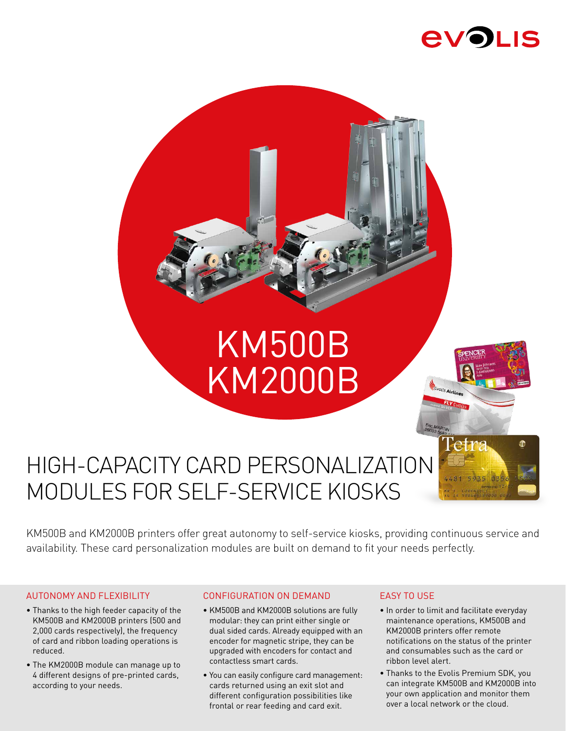

# **KM500B** KM2000B

## HIGH-CAPACITY CARD PERSONALIZATION MODULES FOR SELF-SERVICE KIOSKS

KM500B and KM2000B printers offer great autonomy to self-service kiosks, providing continuous service and availability. These card personalization modules are built on demand to fit your needs perfectly.

#### AUTONOMY AND FLEXIBILITY

- Thanks to the high feeder capacity of the KM500B and KM2000B printers (500 and 2,000 cards respectively), the frequency of card and ribbon loading operations is reduced.
- The KM2000B module can manage up to 4 different designs of pre-printed cards, according to your needs.

#### CONFIGURATION ON DEMAND

- KM500B and KM2000B solutions are fully modular: they can print either single or dual sided cards. Already equipped with an encoder for magnetic stripe, they can be upgraded with encoders for contact and contactless smart cards.
- You can easily configure card management: cards returned using an exit slot and different configuration possibilities like frontal or rear feeding and card exit.

#### EASY TO USE

• In order to limit and facilitate everyday maintenance operations, KM500B and KM2000B printers offer remote notifications on the status of the printer and consumables such as the card or ribbon level alert.

Evolis Airli

• Thanks to the Evolis Premium SDK, you can integrate KM500B and KM2000B into your own application and monitor them over a local network or the cloud.